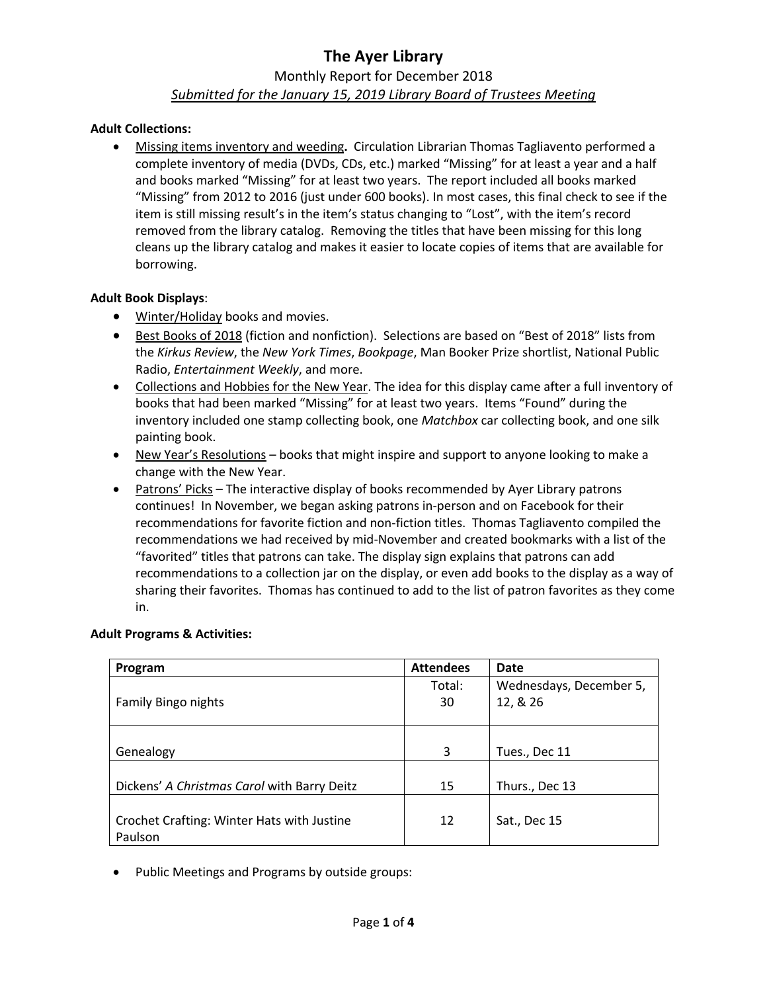### Monthly Report for December 2018 *Submitted for the January 15, 2019 Library Board of Trustees Meeting*

#### **Adult Collections:**

• Missing items inventory and weeding**.** Circulation Librarian Thomas Tagliavento performed a complete inventory of media (DVDs, CDs, etc.) marked "Missing" for at least a year and a half and books marked "Missing" for at least two years. The report included all books marked "Missing" from 2012 to 2016 (just under 600 books). In most cases, this final check to see if the item is still missing result's in the item's status changing to "Lost", with the item's record removed from the library catalog. Removing the titles that have been missing for this long cleans up the library catalog and makes it easier to locate copies of items that are available for borrowing.

#### **Adult Book Displays**:

- Winter/Holiday books and movies.
- Best Books of 2018 (fiction and nonfiction). Selections are based on "Best of 2018" lists from the *Kirkus Review*, the *New York Times*, *Bookpage*, Man Booker Prize shortlist, National Public Radio, *Entertainment Weekly*, and more.
- Collections and Hobbies for the New Year. The idea for this display came after a full inventory of books that had been marked "Missing" for at least two years. Items "Found" during the inventory included one stamp collecting book, one *Matchbox* car collecting book, and one silk painting book.
- New Year's Resolutions books that might inspire and support to anyone looking to make a change with the New Year.
- Patrons' Picks The interactive display of books recommended by Ayer Library patrons continues! In November, we began asking patrons in-person and on Facebook for their recommendations for favorite fiction and non-fiction titles. Thomas Tagliavento compiled the recommendations we had received by mid-November and created bookmarks with a list of the "favorited" titles that patrons can take. The display sign explains that patrons can add recommendations to a collection jar on the display, or even add books to the display as a way of sharing their favorites. Thomas has continued to add to the list of patron favorites as they come in.

| Program                                     | <b>Attendees</b> | <b>Date</b>             |
|---------------------------------------------|------------------|-------------------------|
|                                             | Total:           | Wednesdays, December 5, |
| Family Bingo nights                         | 30               | 12, & 26                |
|                                             |                  |                         |
|                                             |                  |                         |
| Genealogy                                   | 3                | Tues., Dec 11           |
|                                             |                  |                         |
| Dickens' A Christmas Carol with Barry Deitz | 15               | Thurs., Dec 13          |
|                                             |                  |                         |
| Crochet Crafting: Winter Hats with Justine  | 12               | Sat., Dec 15            |
| Paulson                                     |                  |                         |

#### **Adult Programs & Activities:**

• Public Meetings and Programs by outside groups: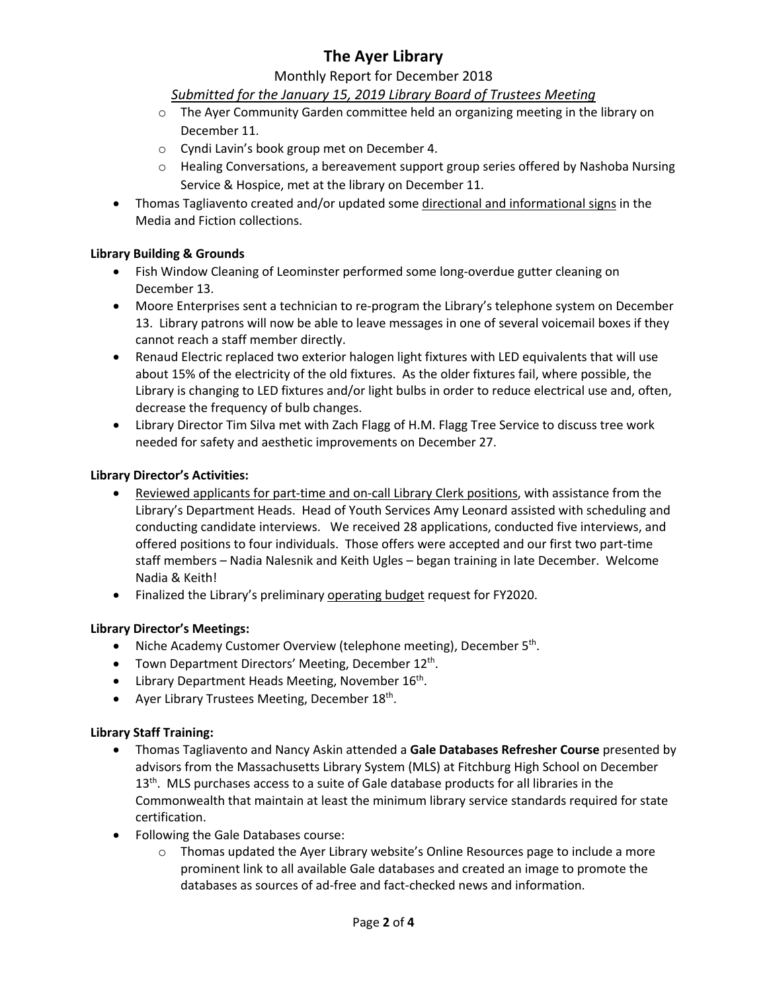#### Monthly Report for December 2018

### *Submitted for the January 15, 2019 Library Board of Trustees Meeting*

- o The Ayer Community Garden committee held an organizing meeting in the library on December 11.
- o Cyndi Lavin's book group met on December 4.
- $\circ$  Healing Conversations, a bereavement support group series offered by Nashoba Nursing Service & Hospice, met at the library on December 11.
- Thomas Tagliavento created and/or updated some directional and informational signs in the Media and Fiction collections.

#### **Library Building & Grounds**

- Fish Window Cleaning of Leominster performed some long-overdue gutter cleaning on December 13.
- Moore Enterprises sent a technician to re-program the Library's telephone system on December 13. Library patrons will now be able to leave messages in one of several voicemail boxes if they cannot reach a staff member directly.
- Renaud Electric replaced two exterior halogen light fixtures with LED equivalents that will use about 15% of the electricity of the old fixtures. As the older fixtures fail, where possible, the Library is changing to LED fixtures and/or light bulbs in order to reduce electrical use and, often, decrease the frequency of bulb changes.
- Library Director Tim Silva met with Zach Flagg of H.M. Flagg Tree Service to discuss tree work needed for safety and aesthetic improvements on December 27.

#### **Library Director's Activities:**

- Reviewed applicants for part-time and on-call Library Clerk positions, with assistance from the Library's Department Heads. Head of Youth Services Amy Leonard assisted with scheduling and conducting candidate interviews. We received 28 applications, conducted five interviews, and offered positions to four individuals. Those offers were accepted and our first two part-time staff members – Nadia Nalesnik and Keith Ugles – began training in late December. Welcome Nadia & Keith!
- Finalized the Library's preliminary operating budget request for FY2020.

#### **Library Director's Meetings:**

- Niche Academy Customer Overview (telephone meeting), December 5<sup>th</sup>.
- Town Department Directors' Meeting, December 12<sup>th</sup>.
- Library Department Heads Meeting, November 16<sup>th</sup>.
- Ayer Library Trustees Meeting, December  $18<sup>th</sup>$ .

#### **Library Staff Training:**

- Thomas Tagliavento and Nancy Askin attended a **Gale Databases Refresher Course** presented by advisors from the Massachusetts Library System (MLS) at Fitchburg High School on December  $13<sup>th</sup>$ . MLS purchases access to a suite of Gale database products for all libraries in the Commonwealth that maintain at least the minimum library service standards required for state certification.
- Following the Gale Databases course:
	- $\circ$  Thomas updated the Ayer Library website's Online Resources page to include a more prominent link to all available Gale databases and created an image to promote the databases as sources of ad-free and fact-checked news and information.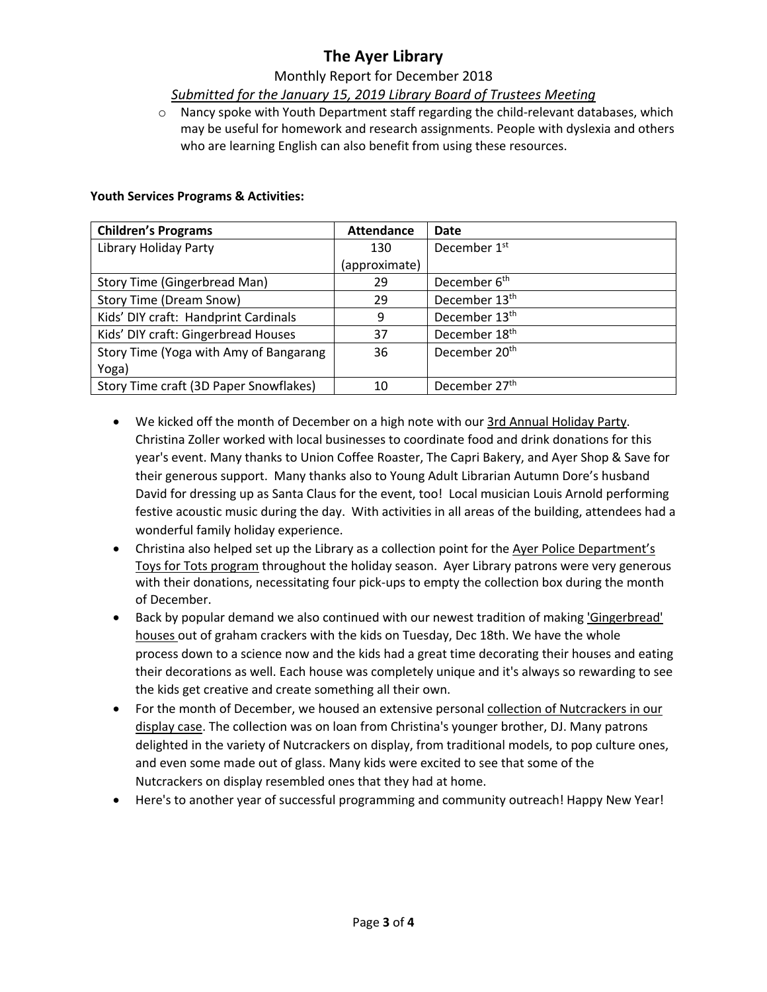#### Monthly Report for December 2018

#### *Submitted for the January 15, 2019 Library Board of Trustees Meeting*

 $\circ$  Nancy spoke with Youth Department staff regarding the child-relevant databases, which may be useful for homework and research assignments. People with dyslexia and others who are learning English can also benefit from using these resources.

#### **Youth Services Programs & Activities:**

| <b>Children's Programs</b>             | <b>Attendance</b> | Date                      |
|----------------------------------------|-------------------|---------------------------|
| Library Holiday Party                  | 130               | December 1 <sup>st</sup>  |
|                                        | (approximate)     |                           |
| <b>Story Time (Gingerbread Man)</b>    | 29                | December 6 <sup>th</sup>  |
| <b>Story Time (Dream Snow)</b>         | 29                | December 13 <sup>th</sup> |
| Kids' DIY craft: Handprint Cardinals   | 9                 | December 13 <sup>th</sup> |
| Kids' DIY craft: Gingerbread Houses    | 37                | December 18 <sup>th</sup> |
| Story Time (Yoga with Amy of Bangarang | 36                | December 20 <sup>th</sup> |
| Yoga)                                  |                   |                           |
| Story Time craft (3D Paper Snowflakes) | 10                | December 27 <sup>th</sup> |

- We kicked off the month of December on a high note with our 3rd Annual Holiday Party. Christina Zoller worked with local businesses to coordinate food and drink donations for this year's event. Many thanks to Union Coffee Roaster, The Capri Bakery, and Ayer Shop & Save for their generous support. Many thanks also to Young Adult Librarian Autumn Dore's husband David for dressing up as Santa Claus for the event, too! Local musician Louis Arnold performing festive acoustic music during the day. With activities in all areas of the building, attendees had a wonderful family holiday experience.
- Christina also helped set up the Library as a collection point for the Ayer Police Department's Toys for Tots program throughout the holiday season. Ayer Library patrons were very generous with their donations, necessitating four pick-ups to empty the collection box during the month of December.
- Back by popular demand we also continued with our newest tradition of making 'Gingerbread' houses out of graham crackers with the kids on Tuesday, Dec 18th. We have the whole process down to a science now and the kids had a great time decorating their houses and eating their decorations as well. Each house was completely unique and it's always so rewarding to see the kids get creative and create something all their own.
- For the month of December, we housed an extensive personal collection of Nutcrackers in our display case. The collection was on loan from Christina's younger brother, DJ. Many patrons delighted in the variety of Nutcrackers on display, from traditional models, to pop culture ones, and even some made out of glass. Many kids were excited to see that some of the Nutcrackers on display resembled ones that they had at home.
- Here's to another year of successful programming and community outreach! Happy New Year!